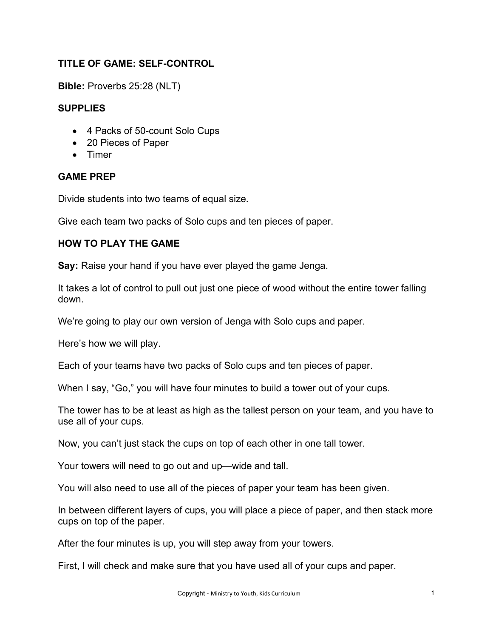# **TITLE OF GAME: SELF-CONTROL**

**Bible:** Proverbs 25:28 (NLT)

## **SUPPLIES**

- 4 Packs of 50-count Solo Cups
- 20 Pieces of Paper
- Timer

### **GAME PREP**

Divide students into two teams of equal size.

Give each team two packs of Solo cups and ten pieces of paper.

### **HOW TO PLAY THE GAME**

**Say:** Raise your hand if you have ever played the game Jenga.

It takes a lot of control to pull out just one piece of wood without the entire tower falling down.

We're going to play our own version of Jenga with Solo cups and paper.

Here's how we will play.

Each of your teams have two packs of Solo cups and ten pieces of paper.

When I say, "Go," you will have four minutes to build a tower out of your cups.

The tower has to be at least as high as the tallest person on your team, and you have to use all of your cups.

Now, you can't just stack the cups on top of each other in one tall tower.

Your towers will need to go out and up—wide and tall.

You will also need to use all of the pieces of paper your team has been given.

In between different layers of cups, you will place a piece of paper, and then stack more cups on top of the paper.

After the four minutes is up, you will step away from your towers.

First, I will check and make sure that you have used all of your cups and paper.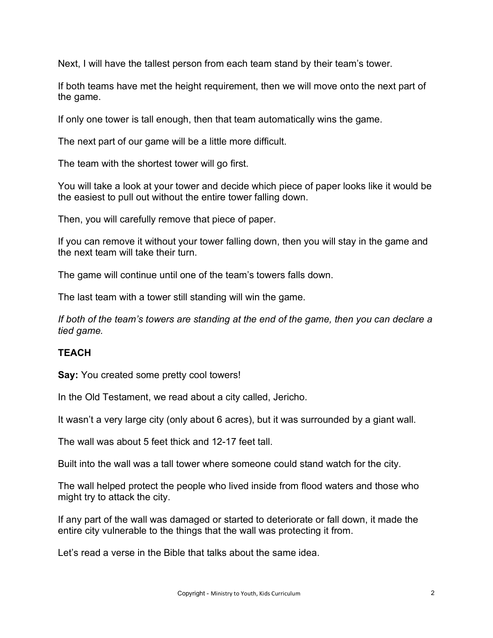Next, I will have the tallest person from each team stand by their team's tower.

If both teams have met the height requirement, then we will move onto the next part of the game.

If only one tower is tall enough, then that team automatically wins the game.

The next part of our game will be a little more difficult.

The team with the shortest tower will go first.

You will take a look at your tower and decide which piece of paper looks like it would be the easiest to pull out without the entire tower falling down.

Then, you will carefully remove that piece of paper.

If you can remove it without your tower falling down, then you will stay in the game and the next team will take their turn.

The game will continue until one of the team's towers falls down.

The last team with a tower still standing will win the game.

*If both of the team's towers are standing at the end of the game, then you can declare a tied game.*

### **TEACH**

**Say:** You created some pretty cool towers!

In the Old Testament, we read about a city called, Jericho.

It wasn't a very large city (only about 6 acres), but it was surrounded by a giant wall.

The wall was about 5 feet thick and 12-17 feet tall.

Built into the wall was a tall tower where someone could stand watch for the city.

The wall helped protect the people who lived inside from flood waters and those who might try to attack the city.

If any part of the wall was damaged or started to deteriorate or fall down, it made the entire city vulnerable to the things that the wall was protecting it from.

Let's read a verse in the Bible that talks about the same idea.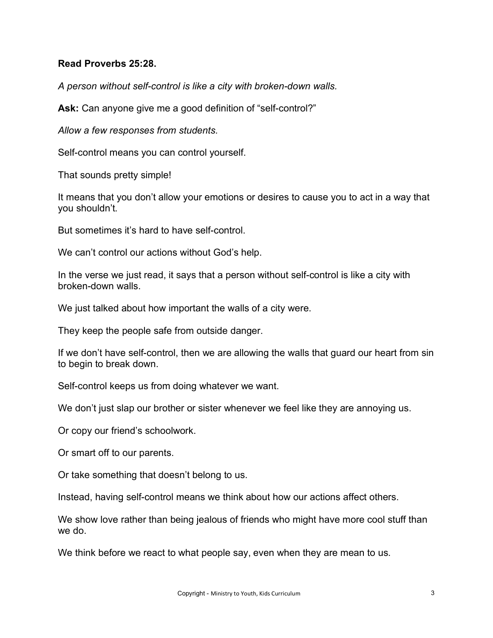#### **Read Proverbs 25:28.**

*A person without self-control is like a city with broken-down walls.*

**Ask:** Can anyone give me a good definition of "self-control?"

*Allow a few responses from students.*

Self-control means you can control yourself.

That sounds pretty simple!

It means that you don't allow your emotions or desires to cause you to act in a way that you shouldn't.

But sometimes it's hard to have self-control.

We can't control our actions without God's help.

In the verse we just read, it says that a person without self-control is like a city with broken-down walls.

We just talked about how important the walls of a city were.

They keep the people safe from outside danger.

If we don't have self-control, then we are allowing the walls that guard our heart from sin to begin to break down.

Self-control keeps us from doing whatever we want.

We don't just slap our brother or sister whenever we feel like they are annoying us.

Or copy our friend's schoolwork.

Or smart off to our parents.

Or take something that doesn't belong to us.

Instead, having self-control means we think about how our actions affect others.

We show love rather than being jealous of friends who might have more cool stuff than we do.

We think before we react to what people say, even when they are mean to us.